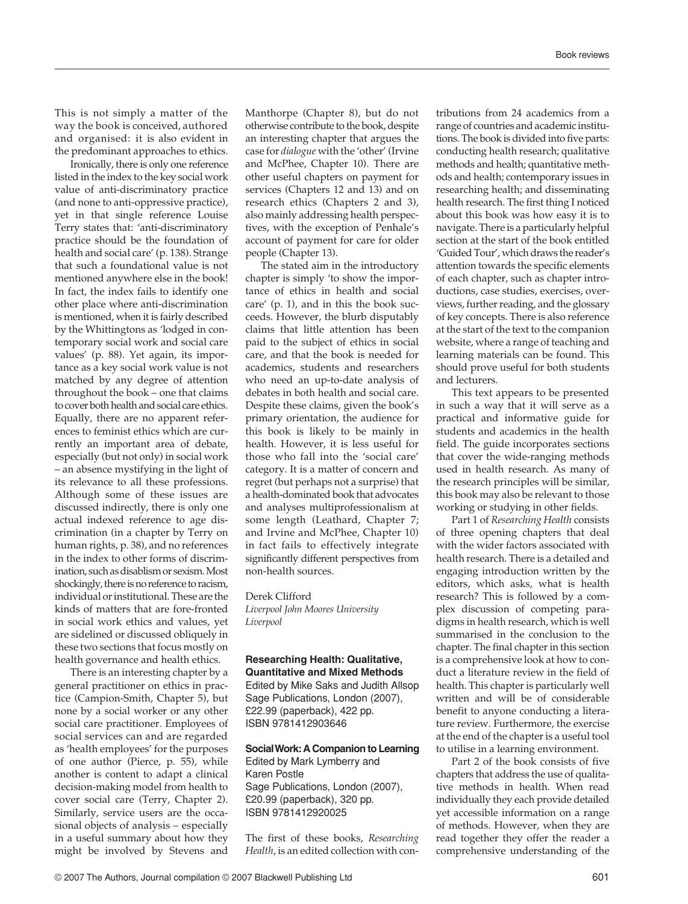This is not simply a matter of the way the book is conceived, authored and organised: it is also evident in the predominant approaches to ethics.

Ironically, there is only one reference listed in the index to the key social work value of anti-discriminatory practice (and none to anti-oppressive practice), yet in that single reference Louise Terry states that: 'anti-discriminatory practice should be the foundation of health and social care' (p. 138). Strange that such a foundational value is not mentioned anywhere else in the book! In fact, the index fails to identify one other place where anti-discrimination is mentioned, when it is fairly described by the Whittingtons as 'lodged in contemporary social work and social care values' (p. 88). Yet again, its importance as a key social work value is not matched by any degree of attention throughout the book – one that claims to cover both health and social care ethics. Equally, there are no apparent references to feminist ethics which are currently an important area of debate, especially (but not only) in social work – an absence mystifying in the light of its relevance to all these professions. Although some of these issues are discussed indirectly, there is only one actual indexed reference to age discrimination (in a chapter by Terry on human rights, p. 38), and no references in the index to other forms of discrimination, such as disablism or sexism. Most shockingly, there is no reference to racism, individual or institutional. These are the kinds of matters that are fore-fronted in social work ethics and values, yet are sidelined or discussed obliquely in these two sections that focus mostly on health governance and health ethics.

There is an interesting chapter by a general practitioner on ethics in practice (Campion-Smith, Chapter 5), but none by a social worker or any other social care practitioner. Employees of social services can and are regarded as 'health employees' for the purposes of one author (Pierce, p. 55), while another is content to adapt a clinical decision-making model from health to cover social care (Terry, Chapter 2). Similarly, service users are the occasional objects of analysis – especially in a useful summary about how they might be involved by Stevens and Manthorpe (Chapter 8), but do not otherwise contribute to the book, despite an interesting chapter that argues the case for *dialogue* with the 'other' (Irvine and McPhee, Chapter 10). There are other useful chapters on payment for services (Chapters 12 and 13) and on research ethics (Chapters 2 and 3), also mainly addressing health perspectives, with the exception of Penhale's account of payment for care for older people (Chapter 13).

The stated aim in the introductory chapter is simply 'to show the importance of ethics in health and social care' (p. 1), and in this the book succeeds. However, the blurb disputably claims that little attention has been paid to the subject of ethics in social care, and that the book is needed for academics, students and researchers who need an up-to-date analysis of debates in both health and social care. Despite these claims, given the book's primary orientation, the audience for this book is likely to be mainly in health. However, it is less useful for those who fall into the 'social care' category. It is a matter of concern and regret (but perhaps not a surprise) that a health-dominated book that advocates and analyses multiprofessionalism at some length (Leathard, Chapter 7; and Irvine and McPhee, Chapter 10) in fact fails to effectively integrate significantly different perspectives from non-health sources.

Derek Clifford *Liverpool John Moores University Liverpool*

## **Researching Health: Qualitative, Quantitative and Mixed Methods**

Edited by Mike Saks and Judith Allsop Sage Publications, London (2007), £22.99 (paperback), 422 pp. ISBN 9781412903646

## **Social Work: A Companion to Learning**

Edited by Mark Lymberry and Karen Postle Sage Publications, London (2007), £20.99 (paperback), 320 pp. ISBN 9781412920025

The first of these books, *Researching Health*, is an edited collection with contributions from 24 academics from a range of countries and academic institutions. The book is divided into five parts: conducting health research; qualitative methods and health; quantitative methods and health; contemporary issues in researching health; and disseminating health research. The first thing I noticed about this book was how easy it is to navigate. There is a particularly helpful section at the start of the book entitled 'Guided Tour', which draws the reader's attention towards the specific elements of each chapter, such as chapter introductions, case studies, exercises, overviews, further reading, and the glossary of key concepts. There is also reference at the start of the text to the companion website, where a range of teaching and learning materials can be found. This should prove useful for both students and lecturers.

This text appears to be presented in such a way that it will serve as a practical and informative guide for students and academics in the health field. The guide incorporates sections that cover the wide-ranging methods used in health research. As many of the research principles will be similar, this book may also be relevant to those working or studying in other fields.

Part 1 of *Researching Health* consists of three opening chapters that deal with the wider factors associated with health research. There is a detailed and engaging introduction written by the editors, which asks, what is health research? This is followed by a complex discussion of competing paradigms in health research, which is well summarised in the conclusion to the chapter. The final chapter in this section is a comprehensive look at how to conduct a literature review in the field of health. This chapter is particularly well written and will be of considerable benefit to anyone conducting a literature review. Furthermore, the exercise at the end of the chapter is a useful tool to utilise in a learning environment.

Part 2 of the book consists of five chapters that address the use of qualitative methods in health. When read individually they each provide detailed yet accessible information on a range of methods. However, when they are read together they offer the reader a comprehensive understanding of the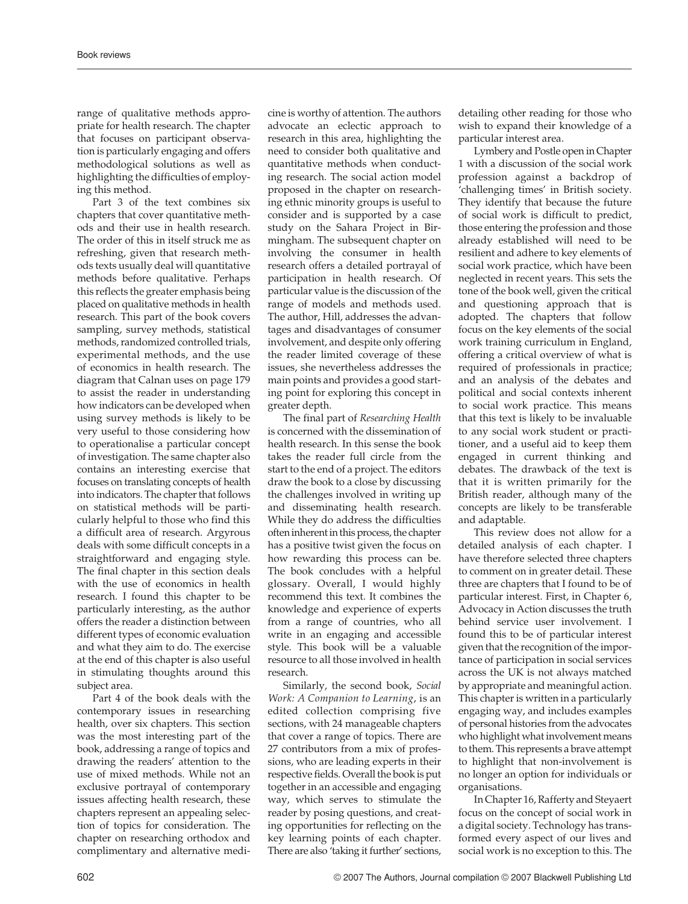range of qualitative methods appropriate for health research. The chapter that focuses on participant observation is particularly engaging and offers methodological solutions as well as highlighting the difficulties of employing this method.

Part 3 of the text combines six chapters that cover quantitative methods and their use in health research. The order of this in itself struck me as refreshing, given that research methods texts usually deal will quantitative methods before qualitative. Perhaps this reflects the greater emphasis being placed on qualitative methods in health research. This part of the book covers sampling, survey methods, statistical methods, randomized controlled trials, experimental methods, and the use of economics in health research. The diagram that Calnan uses on page 179 to assist the reader in understanding how indicators can be developed when using survey methods is likely to be very useful to those considering how to operationalise a particular concept of investigation. The same chapter also contains an interesting exercise that focuses on translating concepts of health into indicators. The chapter that follows on statistical methods will be particularly helpful to those who find this a difficult area of research. Argyrous deals with some difficult concepts in a straightforward and engaging style. The final chapter in this section deals with the use of economics in health research. I found this chapter to be particularly interesting, as the author offers the reader a distinction between different types of economic evaluation and what they aim to do. The exercise at the end of this chapter is also useful in stimulating thoughts around this subject area.

Part 4 of the book deals with the contemporary issues in researching health, over six chapters. This section was the most interesting part of the book, addressing a range of topics and drawing the readers' attention to the use of mixed methods. While not an exclusive portrayal of contemporary issues affecting health research, these chapters represent an appealing selection of topics for consideration. The chapter on researching orthodox and complimentary and alternative medicine is worthy of attention. The authors advocate an eclectic approach to research in this area, highlighting the need to consider both qualitative and quantitative methods when conducting research. The social action model proposed in the chapter on researching ethnic minority groups is useful to consider and is supported by a case study on the Sahara Project in Birmingham. The subsequent chapter on involving the consumer in health research offers a detailed portrayal of participation in health research. Of particular value is the discussion of the range of models and methods used. The author, Hill, addresses the advantages and disadvantages of consumer involvement, and despite only offering the reader limited coverage of these issues, she nevertheless addresses the main points and provides a good starting point for exploring this concept in greater depth.

The final part of *Researching Health* is concerned with the dissemination of health research. In this sense the book takes the reader full circle from the start to the end of a project. The editors draw the book to a close by discussing the challenges involved in writing up and disseminating health research. While they do address the difficulties often inherent in this process, the chapter has a positive twist given the focus on how rewarding this process can be. The book concludes with a helpful glossary. Overall, I would highly recommend this text. It combines the knowledge and experience of experts from a range of countries, who all write in an engaging and accessible style. This book will be a valuable resource to all those involved in health research.

Similarly, the second book, *Social Work: A Companion to Learning*, is an edited collection comprising five sections, with 24 manageable chapters that cover a range of topics. There are 27 contributors from a mix of professions, who are leading experts in their respective fields. Overall the book is put together in an accessible and engaging way, which serves to stimulate the reader by posing questions, and creating opportunities for reflecting on the key learning points of each chapter. There are also 'taking it further' sections, detailing other reading for those who wish to expand their knowledge of a particular interest area.

Lymbery and Postle open in Chapter 1 with a discussion of the social work profession against a backdrop of 'challenging times' in British society. They identify that because the future of social work is difficult to predict, those entering the profession and those already established will need to be resilient and adhere to key elements of social work practice, which have been neglected in recent years. This sets the tone of the book well, given the critical and questioning approach that is adopted. The chapters that follow focus on the key elements of the social work training curriculum in England, offering a critical overview of what is required of professionals in practice; and an analysis of the debates and political and social contexts inherent to social work practice. This means that this text is likely to be invaluable to any social work student or practitioner, and a useful aid to keep them engaged in current thinking and debates. The drawback of the text is that it is written primarily for the British reader, although many of the concepts are likely to be transferable and adaptable.

This review does not allow for a detailed analysis of each chapter. I have therefore selected three chapters to comment on in greater detail. These three are chapters that I found to be of particular interest. First, in Chapter 6, Advocacy in Action discusses the truth behind service user involvement. I found this to be of particular interest given that the recognition of the importance of participation in social services across the UK is not always matched by appropriate and meaningful action. This chapter is written in a particularly engaging way, and includes examples of personal histories from the advocates who highlight what involvement means to them. This represents a brave attempt to highlight that non-involvement is no longer an option for individuals or organisations.

In Chapter 16, Rafferty and Steyaert focus on the concept of social work in a digital society. Technology has transformed every aspect of our lives and social work is no exception to this. The